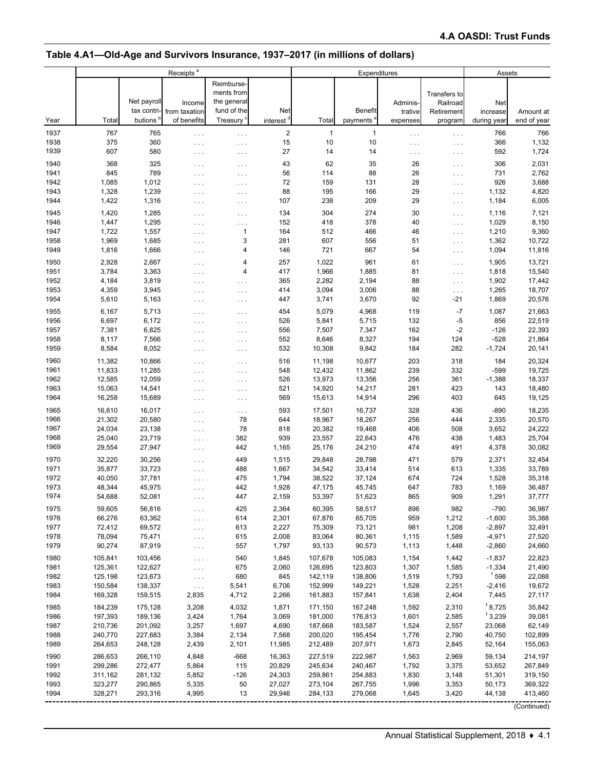# **Table 4.A1—Old-Age and Survivors Insurance, 1937–2017 (in millions of dollars)**

|              |                    |                    | Receipts <sup>a</sup>            |                                         |                       | Expenditures       |                    |                |                                  | Assets                       |                  |  |
|--------------|--------------------|--------------------|----------------------------------|-----------------------------------------|-----------------------|--------------------|--------------------|----------------|----------------------------------|------------------------------|------------------|--|
|              |                    | Net payroll        | Income                           | Reimburse-<br>ments from<br>the general |                       |                    |                    | Adminis-       | Transfers to<br>Railroad         | Net                          |                  |  |
|              |                    | tax contri-        | from taxation                    | fund of the                             | Net                   |                    | <b>Benefit</b>     | trative        | Retirement                       | increase                     | Amount at        |  |
| Year         | Total              | butions            | of benefits                      | Treasury <sup>c</sup>                   | interest <sup>d</sup> | Total              | payments'          | expenses       | program                          | during year                  | end of year      |  |
| 1937         | 767                | 765                | $\sim$ $\sim$ $\sim$             | $\cdots$                                | $\sqrt{2}$            | $\mathbf{1}$       | $\mathbf{1}$       | $\cdots$       | $\cdots$                         | 766                          | 766              |  |
| 1938         | 375                | 360                | $\cdots$                         | .                                       | 15                    | 10                 | 10                 | .              | $\sim$ $\sim$ $\sim$             | 366                          | 1,132            |  |
| 1939         | 607                | 580                | $\cdots$                         | $\cdots$                                | 27                    | 14                 | 14                 | .              | $\ldots$ .                       | 592                          | 1,724            |  |
| 1940         | 368                | 325                | $\cdots$                         | .                                       | 43                    | 62                 | 35                 | 26             | $\sim$ $\sim$ $\sim$             | 306                          | 2,031            |  |
| 1941         | 845                | 789                | $\cdots$                         | $\ldots$                                | 56                    | 114                | 88                 | 26             | $\sim$ $\sim$ $\sim$             | 731                          | 2,762            |  |
| 1942         | 1,085              | 1,012              | $\cdots$                         | .                                       | 72                    | 159                | 131                | 28             | $\cdots$                         | 926                          | 3,688            |  |
| 1943<br>1944 | 1,328<br>1,422     | 1,239<br>1,316     | $\cdots$                         | .                                       | 88<br>107             | 195<br>238         | 166<br>209         | 29<br>29       | $\cdots$                         | 1,132<br>1,184               | 4,820<br>6,005   |  |
|              |                    |                    | $\ldots$                         | .                                       |                       |                    |                    |                | $\cdots$                         |                              |                  |  |
| 1945<br>1946 | 1,420<br>1,447     | 1,285<br>1,295     | $\ldots$                         | .                                       | 134<br>152            | 304<br>418         | 274<br>378         | 30<br>40       | $\cdots$                         | 1,116<br>1,029               | 7,121<br>8,150   |  |
| 1947         | 1,722              | 1,557              | $\cdots$                         | .<br>1                                  | 164                   | 512                | 466                | 46             | $\sim$ $\sim$ $\sim$<br>$\cdots$ | 1,210                        | 9,360            |  |
| 1958         | 1,969              | 1,685              | $\ldots$<br>$\sim$ $\sim$ $\sim$ | 3                                       | 281                   | 607                | 556                | 51             | $\cdots$                         | 1,362                        | 10,722           |  |
| 1949         | 1,816              | 1,666              | $\sim$ $\sim$ $\sim$             | 4                                       | 146                   | 721                | 667                | 54             | $\cdots$                         | 1,094                        | 11,816           |  |
| 1950         | 2,928              | 2,667              | $\sim$ $\sim$ $\sim$             | 4                                       | 257                   | 1,022              | 961                | 61             | $\cdots$                         | 1,905                        | 13,721           |  |
| 1951         | 3,784              | 3,363              | $\cdots$                         | 4                                       | 417                   | 1,966              | 1,885              | 81             | $\cdots$                         | 1,818                        | 15,540           |  |
| 1952         | 4,184              | 3,819              | $\cdots$                         | .                                       | 365                   | 2,282              | 2,194              | 88             | $\cdots$                         | 1,902                        | 17,442           |  |
| 1953         | 4,359              | 3,945              | $\cdots$                         | .                                       | 414                   | 3,094              | 3,006              | 88             | $\cdots$                         | 1,265                        | 18,707           |  |
| 1954         | 5,610              | 5,163              | $\cdots$                         | .                                       | 447                   | 3,741              | 3,670              | 92             | $-21$                            | 1,869                        | 20,576           |  |
| 1955         | 6,167              | 5,713              | $\cdots$                         | $\cdots$                                | 454                   | 5,079              | 4,968              | 119            | $-7$                             | 1,087                        | 21,663           |  |
| 1956         | 6,697              | 6,172              | $\cdots$                         | $\cdots$                                | 526                   | 5,841              | 5,715              | 132            | -5                               | 856                          | 22,519           |  |
| 1957         | 7,381              | 6,825              | $\ldots$ .                       | $\ldots$                                | 556                   | 7,507              | 7,347              | 162            | $-2$                             | $-126$                       | 22,393           |  |
| 1958         | 8,117              | 7,566              | $\cdots$                         | .                                       | 552                   | 8,646              | 8,327              | 194            | 124                              | $-528$                       | 21,864           |  |
| 1959         | 8,584              | 8,052              | $\ldots$                         | $\ldots$                                | 532                   | 10,308             | 9,842              | 184            | 282                              | $-1,724$                     | 20,141           |  |
| 1960         | 11,382             | 10,866             | $\cdots$                         | .                                       | 516                   | 11,198             | 10,677             | 203            | 318                              | 184                          | 20,324           |  |
| 1961         | 11,833             | 11,285             | $\cdots$                         | .                                       | 548                   | 12,432             | 11,862             | 239            | 332                              | $-599$                       | 19,725           |  |
| 1962         | 12,585             | 12,059             | $\ldots$                         | .                                       | 526                   | 13,973             | 13,356             | 256            | 361                              | $-1,388$                     | 18,337           |  |
| 1963<br>1964 | 15,063<br>16,258   | 14,541<br>15,689   | $\ldots$                         | $\ldots$                                | 521<br>569            | 14,920<br>15,613   | 14,217<br>14,914   | 281<br>296     | 423<br>403                       | 143<br>645                   | 18,480<br>19,125 |  |
|              |                    |                    | $\cdots$                         | .                                       |                       |                    |                    |                |                                  |                              |                  |  |
| 1965<br>1966 | 16,610<br>21,302   | 16,017<br>20,580   | $\cdots$                         | $\ddotsc$<br>78                         | 593<br>644            | 17,501<br>18,967   | 16,737<br>18,267   | 328<br>256     | 436<br>444                       | -890<br>2,335                | 18,235<br>20,570 |  |
| 1967         | 24,034             | 23,138             | $\cdots$<br>$\sim$ $\sim$ $\sim$ | 78                                      | 818                   | 20,382             | 19,468             | 406            | 508                              | 3,652                        | 24,222           |  |
| 1968         | 25,040             | 23,719             | $\sim$ $\sim$ $\sim$             | 382                                     | 939                   | 23,557             | 22,643             | 476            | 438                              | 1,483                        | 25,704           |  |
| 1969         | 29,554             | 27,947             | $\sim$ $\sim$ $\sim$             | 442                                     | 1,165                 | 25,176             | 24,210             | 474            | 491                              | 4,378                        | 30,082           |  |
| 1970         | 32,220             | 30,256             | $\cdots$                         | 449                                     | 1,515                 | 29,848             | 28,798             | 471            | 579                              | 2,371                        | 32,454           |  |
| 1971         | 35,877             | 33,723             | $\sim$ $\sim$ $\sim$             | 488                                     | 1,667                 | 34,542             | 33,414             | 514            | 613                              | 1,335                        | 33,789           |  |
| 1972         | 40,050             | 37,781             | $\sim$ $\sim$ $\sim$             | 475                                     | 1,794                 | 38,522             | 37,124             | 674            | 724                              | 1,528                        | 35,318           |  |
| 1973         | 48,344             | 45,975             | $\ldots$                         | 442                                     | 1,928                 | 47,175             | 45,745             | 647            | 783                              | 1,169                        | 36,487           |  |
| 1974         | 54,688             | 52,081             | $\ldots$ .                       | 447                                     | 2,159                 | 53,397             | 51,623             | 865            | 909                              | 1,291                        | 37,777           |  |
| 1975         | 59,605             | 56,816             | $\cdots$                         | 425                                     | 2,364                 | 60,395             | 58,517             | 896            | 982                              | $-790$                       | 36,987           |  |
| 1976         | 66,276             | 63,362             | $\cdots$                         | 614                                     | 2,301                 | 67,876             | 65,705             | 959            | 1,212                            | $-1,600$                     | 35,388           |  |
| 1977         | 72,412             | 69,572             | $\cdots$                         | 613                                     | 2,227                 | 75,309             | 73,121             | 981            | 1,208                            | $-2,897$                     | 32,491           |  |
| 1978         | 78,094             | 75,471             | $\ldots$                         | 615                                     | 2,008                 | 83,064             | 80,361             | 1,115          | 1,589                            | $-4,971$                     | 27,520           |  |
| 1979         | 90,274             | 87,919             | $\epsilon \sim 1$                | 557                                     | 1,797                 | 93,133             | 90,573             | 1,113          | 1,448                            | $-2,860$                     | 24,660           |  |
| 1980         | 105,841            | 103,456            | $\cdots$                         | 540                                     | 1,845                 | 107,678            | 105,083            | 1,154          | 1,442                            | $-1,837$                     | 22,823           |  |
| 1981         | 125,361            | 122,627<br>123,673 | $\sim$ $\sim$ $\sim$             | 675<br>680                              | 2,060<br>845          | 126,695            | 123,803            | 1,307<br>1,519 | 1,585                            | $-1,334$<br><sup>f</sup> 598 | 21,490<br>22,088 |  |
| 1982<br>1983 | 125,198<br>150,584 | 138,337            | $\sim$ $\sim$ $\sim$             | 5,541                                   | 6,706                 | 142,119<br>152,999 | 138,806<br>149,221 | 1,528          | 1,793<br>2,251                   | $-2,416$                     | 19,672           |  |
| 1984         | 169,328            | 159,515            | $\ldots$<br>2,835                | 4,712                                   | 2,266                 | 161,883            | 157,841            | 1,638          | 2,404                            | 7,445                        | 27,117           |  |
| 1985         | 184,239            |                    | 3,208                            | 4,032                                   | 1,871                 |                    | 167,248            |                | 2,310                            | $f$ 8,725                    | 35,842           |  |
| 1986         | 197,393            | 175,128<br>189,136 | 3,424                            | 1,764                                   | 3,069                 | 171,150<br>181,000 | 176,813            | 1,592<br>1,601 | 2,585                            | 15,239                       | 39,081           |  |
| 1987         | 210,736            | 201,092            | 3,257                            | 1,697                                   | 4,690                 | 187,668            | 183,587            | 1,524          | 2,557                            | 23,068                       | 62,149           |  |
| 1988         | 240,770            | 227,683            | 3,384                            | 2,134                                   | 7,568                 | 200,020            | 195,454            | 1,776          | 2,790                            | 40,750                       | 102,899          |  |
| 1989         | 264,653            | 248,128            | 2,439                            | 2,101                                   | 11,985                | 212,489            | 207,971            | 1,673          | 2,845                            | 52,164                       | 155,063          |  |
| 1990         | 286,653            | 266,110            | 4,848                            | $-668$                                  | 16,363                | 227,519            | 222,987            | 1,563          | 2,969                            | 59,134                       | 214,197          |  |
| 1991         | 299,286            | 272,477            | 5,864                            | 115                                     | 20,829                | 245,634            | 240,467            | 1,792          | 3,375                            | 53,652                       | 267,849          |  |
| 1992         | 311,162            | 281,132            | 5,852                            | $-126$                                  | 24,303                | 259,861            | 254,883            | 1,830          | 3,148                            | 51,301                       | 319,150          |  |
| 1993         | 323,277            | 290,865            | 5,335                            | 50                                      | 27,027                | 273,104            | 267,755            | 1,996          | 3,353                            | 50,173                       | 369,322          |  |
| 1994         | 328,271            | 293,316            | 4,995                            | 13                                      | 29,946                | 284,133            | 279,068            | 1,645          | 3,420                            | 44,138                       | 413,460          |  |
|              |                    |                    |                                  |                                         |                       |                    |                    |                |                                  |                              | (Continued)      |  |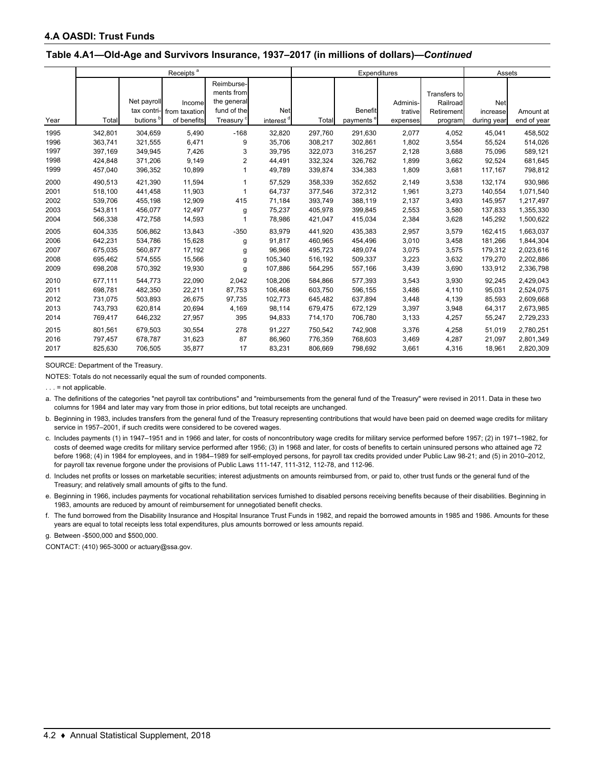#### **Table 4.A1—Old-Age and Survivors Insurance, 1937–2017 (in millions of dollars)—***Continued*

|                                      |                                                     |                                                     | Receipts <sup>a</sup>                          |                                                                                 |                                                | Expenditures                                        |                                                     |                                           |                                                   | Assets                                              |                                                             |  |
|--------------------------------------|-----------------------------------------------------|-----------------------------------------------------|------------------------------------------------|---------------------------------------------------------------------------------|------------------------------------------------|-----------------------------------------------------|-----------------------------------------------------|-------------------------------------------|---------------------------------------------------|-----------------------------------------------------|-------------------------------------------------------------|--|
| Year                                 | Total                                               | Net payroll<br>tax contri-<br>butions <sup>b</sup>  | Income<br>from taxation<br>of benefits         | Reimburse-<br>ments from<br>the general<br>fund of the<br>Treasury <sup>c</sup> | Net<br>interest <sup>d</sup>                   | Total                                               | <b>Benefit</b><br>payments <sup>e</sup>             | Adminis-<br>trative<br>expenses           | Transfers to<br>Railroad<br>Retirement<br>program | Net<br>increase<br>during year                      | Amount at<br>end of year                                    |  |
| 1995                                 | 342,801                                             | 304,659                                             | 5,490                                          | $-168$                                                                          | 32,820                                         | 297,760                                             | 291,630                                             | 2,077                                     | 4,052                                             | 45,041                                              | 458,502                                                     |  |
| 1996                                 | 363,741                                             | 321,555                                             | 6,471                                          | 9                                                                               | 35,706                                         | 308,217                                             | 302,861                                             | 1,802                                     | 3,554                                             | 55,524                                              | 514,026                                                     |  |
| 1997<br>1998<br>1999                 | 397.169<br>424,848<br>457,040                       | 349.945<br>371,206<br>396,352                       | 7,426<br>9,149<br>10,899                       | 3<br>$\overline{2}$                                                             | 39,795<br>44,491<br>49,789                     | 322,073<br>332,324<br>339,874                       | 316,257<br>326,762<br>334,383                       | 2,128<br>1,899<br>1,809                   | 3,688<br>3,662<br>3,681                           | 75,096<br>92,524<br>117,167                         | 589,121<br>681,645<br>798,812                               |  |
| 2000<br>2001<br>2002<br>2003<br>2004 | 490,513<br>518,100<br>539,706<br>543,811<br>566,338 | 421,390<br>441,458<br>455,198<br>456,077<br>472,758 | 11,594<br>11,903<br>12,909<br>12,497<br>14,593 | 1<br>415<br>g<br>1                                                              | 57,529<br>64,737<br>71,184<br>75,237<br>78,986 | 358,339<br>377,546<br>393,749<br>405,978<br>421,047 | 352,652<br>372,312<br>388,119<br>399,845<br>415,034 | 2,149<br>1,961<br>2,137<br>2,553<br>2,384 | 3,538<br>3,273<br>3,493<br>3,580<br>3,628         | 132,174<br>140,554<br>145,957<br>137,833<br>145,292 | 930,986<br>1,071,540<br>1,217,497<br>1,355,330<br>1,500,622 |  |
| 2005                                 | 604,335                                             | 506,862                                             | 13,843                                         | $-350$                                                                          | 83,979                                         | 441.920                                             | 435,383                                             | 2,957                                     | 3,579                                             | 162,415                                             | 1,663,037                                                   |  |
| 2006                                 | 642,231                                             | 534,786                                             | 15,628                                         | g                                                                               | 91,817                                         | 460,965                                             | 454,496                                             | 3,010                                     | 3,458                                             | 181,266                                             | 1,844,304                                                   |  |
| 2007                                 | 675,035                                             | 560,877                                             | 17,192                                         | g                                                                               | 96,966                                         | 495,723                                             | 489,074                                             | 3,075                                     | 3,575                                             | 179,312                                             | 2,023,616                                                   |  |
| 2008                                 | 695,462                                             | 574,555                                             | 15,566                                         | g                                                                               | 105,340                                        | 516,192                                             | 509,337                                             | 3,223                                     | 3,632                                             | 179,270                                             | 2,202,886                                                   |  |
| 2009                                 | 698,208                                             | 570,392                                             | 19,930                                         | g                                                                               | 107,886                                        | 564,295                                             | 557,166                                             | 3,439                                     | 3,690                                             | 133,912                                             | 2,336,798                                                   |  |
| 2010                                 | 677,111                                             | 544,773                                             | 22,090                                         | 2,042                                                                           | 108,206                                        | 584,866                                             | 577,393                                             | 3,543                                     | 3,930                                             | 92,245                                              | 2,429,043                                                   |  |
| 2011                                 | 698,781                                             | 482,350                                             | 22,211                                         | 87,753                                                                          | 106,468                                        | 603,750                                             | 596,155                                             | 3,486                                     | 4,110                                             | 95,031                                              | 2,524,075                                                   |  |
| 2012                                 | 731,075                                             | 503,893                                             | 26,675                                         | 97.735                                                                          | 102,773                                        | 645,482                                             | 637,894                                             | 3,448                                     | 4,139                                             | 85,593                                              | 2,609,668                                                   |  |
| 2013                                 | 743,793                                             | 620,814                                             | 20,694                                         | 4,169                                                                           | 98,114                                         | 679,475                                             | 672,129                                             | 3,397                                     | 3,948                                             | 64,317                                              | 2,673,985                                                   |  |
| 2014                                 | 769,417                                             | 646,232                                             | 27,957                                         | 395                                                                             | 94,833                                         | 714,170                                             | 706,780                                             | 3,133                                     | 4,257                                             | 55,247                                              | 2,729,233                                                   |  |
| 2015                                 | 801,561                                             | 679,503                                             | 30,554                                         | 278                                                                             | 91,227                                         | 750,542                                             | 742,908                                             | 3,376                                     | 4,258                                             | 51,019                                              | 2,780,251                                                   |  |
| 2016                                 | 797,457                                             | 678,787                                             | 31,623                                         | 87                                                                              | 86,960                                         | 776.359                                             | 768,603                                             | 3,469                                     | 4,287                                             | 21,097                                              | 2,801,349                                                   |  |
| 2017                                 | 825,630                                             | 706,505                                             | 35,877                                         | 17                                                                              | 83,231                                         | 806,669                                             | 798,692                                             | 3,661                                     | 4,316                                             | 18,961                                              | 2,820,309                                                   |  |

SOURCE: Department of the Treasury.

NOTES: Totals do not necessarily equal the sum of rounded components.

 $\ldots$  = not applicable.

a. The definitions of the categories "net payroll tax contributions" and "reimbursements from the general fund of the Treasury" were revised in 2011. Data in these two columns for 1984 and later may vary from those in prior editions, but total receipts are unchanged.

b. Beginning in 1983, includes transfers from the general fund of the Treasury representing contributions that would have been paid on deemed wage credits for military service in 1957–2001, if such credits were considered to be covered wages.

c. Includes payments (1) in 1947–1951 and in 1966 and later, for costs of noncontributory wage credits for military service performed before 1957; (2) in 1971–1982, for costs of deemed wage credits for military service performed after 1956; (3) in 1968 and later, for costs of benefits to certain uninsured persons who attained age 72 before 1968; (4) in 1984 for employees, and in 1984–1989 for self-employed persons, for payroll tax credits provided under Public Law 98-21; and (5) in 2010–2012, for payroll tax revenue forgone under the provisions of Public Laws 111-147, 111-312, 112-78, and 112-96.

d. Includes net profits or losses on marketable securities; interest adjustments on amounts reimbursed from, or paid to, other trust funds or the general fund of the Treasury; and relatively small amounts of gifts to the fund.

e. Beginning in 1966, includes payments for vocational rehabilitation services furnished to disabled persons receiving benefits because of their disabilities. Beginning in 1983, amounts are reduced by amount of reimbursement for unnegotiated benefit checks.

f. The fund borrowed from the Disability Insurance and Hospital Insurance Trust Funds in 1982, and repaid the borrowed amounts in 1985 and 1986. Amounts for these years are equal to total receipts less total expenditures, plus amounts borrowed or less amounts repaid.

g. Between -\$500,000 and \$500,000.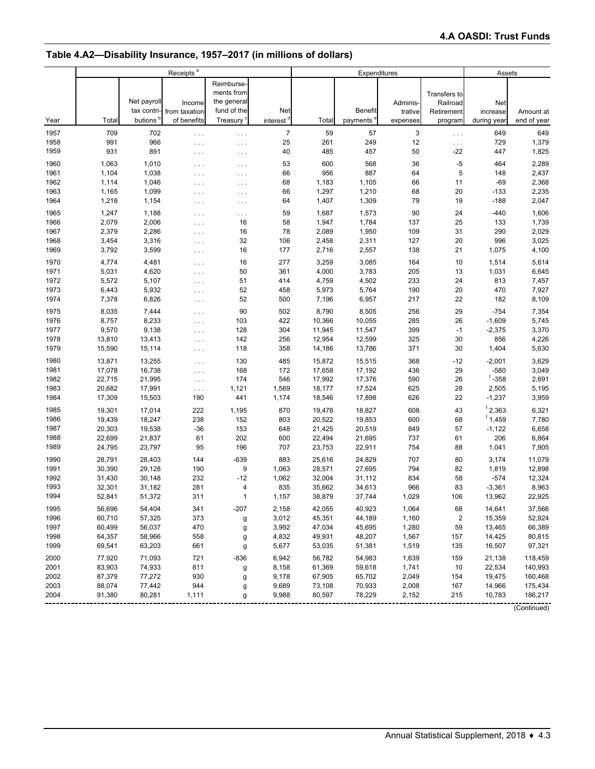# **Table 4.A2—Disability Insurance, 1957–2017 (in millions of dollars)**

|              |                  |                  | Receipts <sup>a</sup> |                          |                       | Expenditures     |                  |                |                          | Assets           |                    |  |
|--------------|------------------|------------------|-----------------------|--------------------------|-----------------------|------------------|------------------|----------------|--------------------------|------------------|--------------------|--|
|              |                  |                  |                       | Reimburse-<br>ments from |                       |                  |                  |                |                          |                  |                    |  |
|              |                  | Net payroll      | Income                | the general              |                       |                  |                  | Adminis-       | Transfers to<br>Railroad | Net              |                    |  |
|              |                  | tax contri-      | from taxation         | fund of the              | Net                   |                  | Benefit          | trative        | Retirement               | increase         | Amount at          |  |
| Year         | Total            | butions          | of benefits           | <b>Treasury</b>          | interest <sup>d</sup> | Total            | payments'        | expenses       | program                  | during year      | end of year        |  |
|              |                  |                  |                       |                          |                       |                  |                  |                |                          |                  |                    |  |
| 1957         | 709<br>991       | 702<br>966       | $\sim$ $\sim$ $\sim$  | .                        | $\overline{7}$<br>25  | 59<br>261        | 57<br>249        | 3<br>12        | $\cdots$                 | 649<br>729       | 649<br>1,379       |  |
| 1958<br>1959 | 931              | 891              | $\sim$ $\sim$ $\sim$  | $\cdots$                 | 40                    | 485              | 457              | 50             | $\cdots$<br>-22          | 447              | 1,825              |  |
|              |                  |                  | $\cdots$              | $\cdots$                 |                       |                  |                  |                |                          |                  |                    |  |
| 1960         | 1,063            | 1,010            | $\cdots$              | .                        | 53                    | 600              | 568              | 36             | $-5$                     | 464              | 2,289              |  |
| 1961         | 1,104            | 1,038            | $\cdots$              | $\ldots$                 | 66                    | 956              | 887              | 64             | 5                        | 148              | 2,437              |  |
| 1962         | 1,114            | 1,046            | $\cdots$              | .                        | 68                    | 1,183            | 1,105            | 66             | 11                       | $-69$            | 2,368              |  |
| 1963         | 1,165            | 1,099            | $\sim$ .              | .                        | 66                    | 1,297            | 1,210            | 68             | 20                       | $-133$           | 2,235              |  |
| 1964         | 1,218            | 1,154            | $\sim$ $\sim$ $\sim$  | .                        | 64                    | 1,407            | 1,309            | 79             | 19                       | $-188$           | 2,047              |  |
| 1965         | 1,247            | 1,188            | $\cdots$              | .                        | 59                    | 1,687            | 1,573            | 90             | 24                       | $-440$           | 1,606              |  |
| 1966         | 2,079            | 2,006            | $\cdots$              | 16                       | 58                    | 1,947            | 1,784            | 137            | 25                       | 133              | 1,739              |  |
| 1967         | 2,379            | 2,286            | $\sim$ $\sim$ $\sim$  | 16                       | 78                    | 2,089            | 1,950            | 109            | 31                       | 290              | 2,029              |  |
| 1968         | 3,454            | 3,316            | $\sim$ $\sim$ $\sim$  | 32                       | 106                   | 2,458            | 2,311            | 127            | 20                       | 996              | 3,025              |  |
| 1969         | 3,792            | 3,599            | $\sim$ $\sim$ $\sim$  | 16                       | 177                   | 2,716            | 2,557            | 138            | 21                       | 1,075            | 4,100              |  |
| 1970         | 4,774            | 4,481            | $\sim$ $\sim$ $\sim$  | 16                       | 277                   | 3,259            | 3,085            | 164            | 10                       | 1,514            | 5,614              |  |
| 1971         | 5,031            | 4,620            | $\sim$ $\sim$ $\sim$  | 50                       | 361                   | 4,000            | 3,783            | 205            | 13                       | 1,031            | 6,645              |  |
| 1972         | 5,572            | 5,107            | $\sim$ $\sim$ $\sim$  | 51                       | 414                   | 4,759            | 4,502            | 233            | 24                       | 813              | 7,457              |  |
| 1973         | 6,443            | 5,932            | $\sim$ $\sim$ $\sim$  | 52                       | 458                   | 5,973            | 5,764            | 190            | 20                       | 470              | 7,927              |  |
| 1974         | 7,378            | 6,826            | $\sim$ $\sim$ $\sim$  | 52                       | 500                   | 7,196            | 6,957            | 217            | 22                       | 182              | 8,109              |  |
| 1975         | 8,035            | 7,444            | $\sim$ $\sim$ $\sim$  | 90                       | 502                   | 8,790            | 8,505            | 256            | 29                       | $-754$           | 7,354              |  |
| 1976         | 8,757            | 8,233            | $\sim$ .              | 103                      | 422                   | 10,366           | 10,055           | 285            | 26                       | $-1,609$         | 5,745              |  |
| 1977         | 9,570            | 9,138            | $\sim$ $\sim$ $\sim$  | 128                      | 304                   | 11,945           | 11,547           | 399            | $-1$                     | $-2,375$         | 3,370              |  |
| 1978         | 13,810           | 13,413           | $\sim$ $\sim$ $\sim$  | 142                      | 256                   | 12,954           | 12,599           | 325            | 30                       | 856              | 4,226              |  |
| 1979         | 15,590           | 15,114           | $\sim$ $\sim$ $\sim$  | 118                      | 358                   | 14,186           | 13,786           | 371            | 30                       | 1,404            | 5,630              |  |
| 1980         | 13,871           | 13,255           | $\sim$ $\sim$ $\sim$  | 130                      | 485                   | 15,872           | 15,515           | 368            | $-12$                    | $-2,001$         | 3,629              |  |
| 1981         | 17,078           | 16,738           | $\sim$ $\sim$ $\sim$  | 168                      | 172                   | 17,658           | 17,192           | 436            | 29                       | $-580$           | 3,049              |  |
| 1982         | 22,715           | 21,995           | $\sim$ $\sim$ $\sim$  | 174                      | 546                   | 17,992           | 17,376           | 590            | 26                       | $f - 358$        | 2,691              |  |
| 1983         | 20,682           | 17,991           | $\epsilon \sim 1$     | 1,121                    | 1,569                 | 18,177           | 17,524           | 625            | 28                       | 2,505            | 5,195              |  |
| 1984         | 17,309           | 15,503           | 190                   | 441                      | 1,174                 | 18,546           | 17,898           | 626            | 22                       | $-1,237$         | 3,959              |  |
| 1985         | 19,301           | 17,014           | 222                   | 1,195                    | 870                   | 19,478           | 18,827           | 608            | 43                       | ${}^{f}$ 2,363   | 6,321              |  |
| 1986         | 19,439           | 18,247           | 238                   | 152                      | 803                   | 20,522           | 19,853           | 600            | 68                       | $f$ 1,459        | 7,780              |  |
| 1987         | 20,303           | 19,538           | $-36$                 | 153                      | 648                   | 21,425           | 20,519           | 849            | 57                       | $-1,122$         | 6,658              |  |
| 1988         | 22,699           | 21,837           | 61                    | 202                      | 600                   | 22,494           | 21,695           | 737            | 61                       | 206              | 6,864              |  |
| 1989         | 24,795           | 23,797           | 95                    | 196                      | 707                   | 23,753           | 22,911           | 754            | 88                       | 1,041            | 7,905              |  |
| 1990         | 28,791           | 28,403           | 144                   | $-639$                   | 883                   | 25,616           | 24,829           | 707            | 80                       | 3,174            | 11,079             |  |
| 1991         | 30,390           | 29,128           | 190                   | 9                        | 1,063                 | 28,571           | 27,695           | 794            | 82                       | 1,819            | 12,898             |  |
| 1992         | 31,430           | 30,148           | 232                   | $-12$                    | 1,062                 | 32,004           | 31,112           | 834            | 58                       | $-574$           | 12,324             |  |
| 1993         | 32,301           | 31,182           | 281                   | 4                        | 835                   | 35,662           | 34,613           | 966            | 83                       | $-3,361$         | 8,963              |  |
| 1994         | 52,841           | 51,372           | 311                   | 1                        | 1,157                 | 38,879           | 37,744           | 1,029          | 106                      | 13,962           | 22,925             |  |
| 1995         | 56,696           | 54,404           | 341                   | $-207$                   | 2,158                 | 42,055           | 40,923           | 1,064          | 68                       | 14,641           | 37,566             |  |
| 1996         | 60,710           | 57,325           | 373                   |                          | 3,012                 | 45,351           | 44,189           | 1,160          | $\mathbf 2$              | 15,359           | 52,924             |  |
| 1997         | 60,499           | 56,037           | 470                   | g                        | 3,992                 | 47,034           | 45,695           | 1,280          | 59                       | 13,465           | 66,389             |  |
| 1998         | 64,357           | 58,966           | 558                   | g<br>g                   | 4,832                 | 49,931           | 48,207           | 1,567          | 157                      | 14,425           | 80,815             |  |
| 1999         | 69,541           | 63,203           | 661                   | g                        | 5,677                 | 53,035           | 51,381           | 1,519          | 135                      | 16,507           | 97,321             |  |
|              |                  |                  |                       |                          |                       |                  |                  |                |                          |                  |                    |  |
| 2000         | 77,920           | 71,093           | 721                   | $-836$                   | 6,942                 | 56,782           | 54,983           | 1,639          | 159                      | 21,138           | 118,459            |  |
| 2001<br>2002 | 83,903<br>87,379 | 74,933           | 811                   | g                        | 8,158<br>9,178        | 61,369           | 59,618<br>65,702 | 1,741<br>2,049 | 10                       | 22,534           | 140,993            |  |
| 2003         | 88,074           | 77,272<br>77,442 | 930<br>944            | g                        | 9,689                 | 67,905<br>73,108 | 70,933           | 2,008          | 154<br>167               | 19,475<br>14,966 | 160,468<br>175,434 |  |
| 2004         | 91,380           | 80,281           | 1,111                 | g                        | 9,988                 | 80,597           | 78,229           | 2,152          | 215                      | 10,783           | 186,217            |  |
|              |                  |                  |                       | g                        |                       |                  |                  |                |                          |                  |                    |  |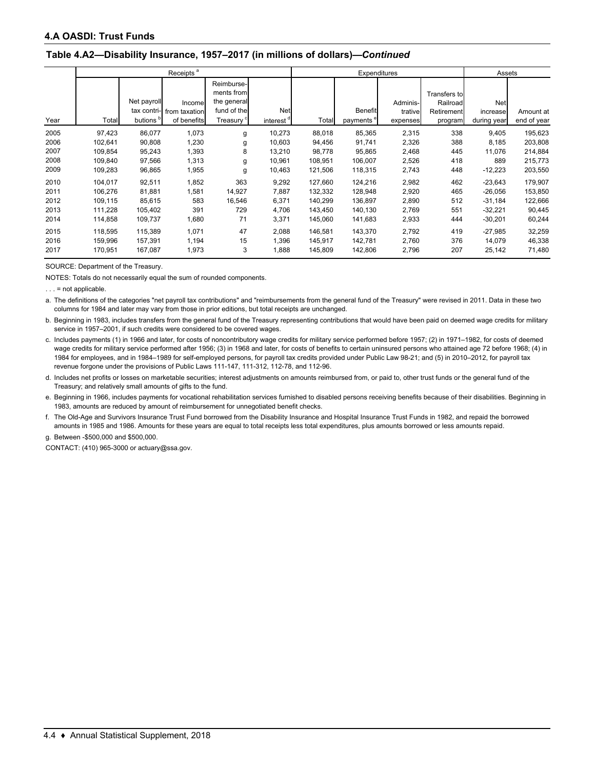#### **Table 4.A2—Disability Insurance, 1957–2017 (in millions of dollars)—***Continued*

|      |         |             | Receipts <sup>a</sup> |                          |                       | Expenditures |                       |          |              |             | Assets      |
|------|---------|-------------|-----------------------|--------------------------|-----------------------|--------------|-----------------------|----------|--------------|-------------|-------------|
|      |         |             |                       | Reimburse-<br>ments from |                       |              |                       |          | Transfers to |             |             |
|      |         | Net payroll | Incomel               | the general              |                       |              |                       | Adminis- | Railroad     | <b>Net</b>  |             |
|      |         | tax contri- | from taxation         | fund of the              | Net                   |              | <b>Benefit</b>        | trative  | Retirement   | increase    | Amount at   |
| Year | Total   | butions     | of benefits           | Treasury <sup>c</sup>    | interest <sup>a</sup> | Total        | payments <sup>e</sup> | expenses | program      | during year | end of year |
| 2005 | 97,423  | 86,077      | 1,073                 | g                        | 10,273                | 88,018       | 85,365                | 2,315    | 338          | 9,405       | 195,623     |
| 2006 | 102,641 | 90,808      | 1,230                 | g                        | 10,603                | 94,456       | 91,741                | 2,326    | 388          | 8,185       | 203,808     |
| 2007 | 109,854 | 95,243      | 1,393                 | 8                        | 13,210                | 98,778       | 95,865                | 2,468    | 445          | 11,076      | 214,884     |
| 2008 | 109,840 | 97,566      | 1,313                 | g                        | 10,961                | 108,951      | 106,007               | 2,526    | 418          | 889         | 215,773     |
| 2009 | 109,283 | 96,865      | 1,955                 | g                        | 10,463                | 121,506      | 118,315               | 2,743    | 448          | $-12,223$   | 203,550     |
| 2010 | 104,017 | 92,511      | 1,852                 | 363                      | 9,292                 | 127,660      | 124,216               | 2,982    | 462          | $-23,643$   | 179,907     |
| 2011 | 106,276 | 81,881      | 1,581                 | 14,927                   | 7,887                 | 132,332      | 128,948               | 2,920    | 465          | $-26,056$   | 153,850     |
| 2012 | 109,115 | 85,615      | 583                   | 16,546                   | 6,371                 | 140,299      | 136,897               | 2,890    | 512          | $-31,184$   | 122,666     |
| 2013 | 111,228 | 105,402     | 391                   | 729                      | 4,706                 | 143,450      | 140,130               | 2,769    | 551          | $-32,221$   | 90,445      |
| 2014 | 114,858 | 109,737     | 1,680                 | 71                       | 3,371                 | 145,060      | 141,683               | 2,933    | 444          | $-30,201$   | 60,244      |
| 2015 | 118,595 | 115,389     | 1,071                 | 47                       | 2,088                 | 146,581      | 143,370               | 2,792    | 419          | $-27,985$   | 32,259      |
| 2016 | 159,996 | 157,391     | 1,194                 | 15                       | 1,396                 | 145,917      | 142,781               | 2,760    | 376          | 14,079      | 46,338      |
| 2017 | 170,951 | 167,087     | 1,973                 | 3                        | 1,888                 | 145,809      | 142,806               | 2,796    | 207          | 25,142      | 71,480      |

SOURCE: Department of the Treasury.

NOTES: Totals do not necessarily equal the sum of rounded components.

 $\ldots$  = not applicable.

a. The definitions of the categories "net payroll tax contributions" and "reimbursements from the general fund of the Treasury" were revised in 2011. Data in these two columns for 1984 and later may vary from those in prior editions, but total receipts are unchanged.

b. Beginning in 1983, includes transfers from the general fund of the Treasury representing contributions that would have been paid on deemed wage credits for military service in 1957–2001, if such credits were considered to be covered wages.

c. Includes payments (1) in 1966 and later, for costs of noncontributory wage credits for military service performed before 1957; (2) in 1971–1982, for costs of deemed wage credits for military service performed after 1956; (3) in 1968 and later, for costs of benefits to certain uninsured persons who attained age 72 before 1968; (4) in 1984 for employees, and in 1984–1989 for self-employed persons, for payroll tax credits provided under Public Law 98-21; and (5) in 2010–2012, for payroll tax revenue forgone under the provisions of Public Laws 111-147, 111-312, 112-78, and 112-96.

d. Includes net profits or losses on marketable securities; interest adjustments on amounts reimbursed from, or paid to, other trust funds or the general fund of the Treasury; and relatively small amounts of gifts to the fund.

e. Beginning in 1966, includes payments for vocational rehabilitation services furnished to disabled persons receiving benefits because of their disabilities. Beginning in 1983, amounts are reduced by amount of reimbursement for unnegotiated benefit checks.

f. The Old-Age and Survivors Insurance Trust Fund borrowed from the Disability Insurance and Hospital Insurance Trust Funds in 1982, and repaid the borrowed amounts in 1985 and 1986. Amounts for these years are equal to total receipts less total expenditures, plus amounts borrowed or less amounts repaid.

g. Between -\$500,000 and \$500,000.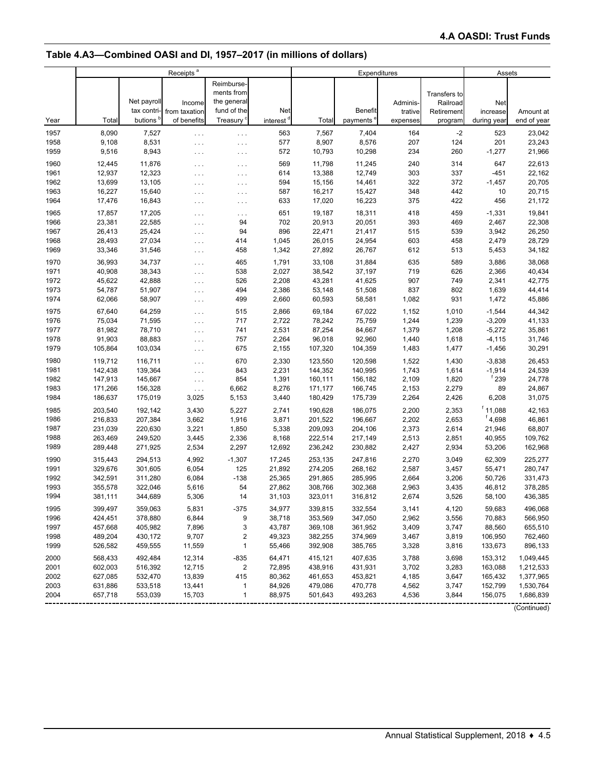# **Table 4.A3—Combined OASI and DI, 1957–2017 (in millions of dollars)**

|      |         |                            | Receipts <sup>a</sup>   |                                                        |                       | Expenditures |                |                     |                                        | Assets                |             |  |
|------|---------|----------------------------|-------------------------|--------------------------------------------------------|-----------------------|--------------|----------------|---------------------|----------------------------------------|-----------------------|-------------|--|
|      |         | Net payroll<br>tax contri- | Income<br>from taxation | Reimburse-<br>ments from<br>the general<br>fund of the | <b>Net</b>            |              | <b>Benefit</b> | Adminis-<br>trative | Transfers to<br>Railroad<br>Retirement | Net<br>increase       | Amount at   |  |
| Year | Total   | butions                    | of benefits             | Treasury <sup>c</sup>                                  | interest <sup>{</sup> | Total        | payments       | expenses            | program                                | during year           | end of year |  |
| 1957 | 8,090   | 7,527                      | $\ldots$                | $\cdots$                                               | 563                   | 7,567        | 7,404          | 164                 | $-2$                                   | 523                   | 23,042      |  |
| 1958 | 9,108   | 8,531                      | $\sim$ $\sim$ $\sim$    | .                                                      | 577                   | 8,907        | 8,576          | 207                 | 124                                    | 201                   | 23,243      |  |
| 1959 | 9,516   | 8,943                      | $\sim$ $\sim$ $\sim$    | $\cdots$                                               | 572                   | 10,793       | 10,298         | 234                 | 260                                    | $-1,277$              | 21,966      |  |
| 1960 | 12,445  | 11,876                     | $\ldots$                | .                                                      | 569                   | 11,798       | 11,245         | 240                 | 314                                    | 647                   | 22,613      |  |
| 1961 | 12,937  | 12,323                     | $\ldots$                | $\ldots$                                               | 614                   | 13,388       | 12,749         | 303                 | 337                                    | $-451$                | 22,162      |  |
| 1962 | 13,699  | 13,105                     | $\cdots$                | .                                                      | 594                   | 15,156       | 14,461         | 322                 | 372                                    | $-1,457$              | 20,705      |  |
| 1963 | 16,227  | 15,640                     | $\cdots$                | .                                                      | 587                   | 16,217       | 15,427         | 348                 | 442                                    | 10                    | 20,715      |  |
| 1964 | 17,476  | 16,843                     | $\sim$ $\sim$ $\sim$    | .                                                      | 633                   | 17,020       | 16,223         | 375                 | 422                                    | 456                   | 21,172      |  |
| 1965 | 17,857  | 17,205                     | $\ldots$                | .                                                      | 651                   | 19,187       | 18,311         | 418                 | 459                                    | $-1,331$              | 19,841      |  |
| 1966 | 23,381  | 22,585                     | $\ldots$                | 94                                                     | 702                   | 20,913       | 20,051         | 393                 | 469                                    | 2,467                 | 22,308      |  |
| 1967 | 26,413  | 25,424                     | $\sim 100$              | 94                                                     | 896                   | 22,471       | 21,417         | 515                 | 539                                    | 3,942                 | 26,250      |  |
| 1968 | 28,493  | 27,034                     | $\cdots$                | 414                                                    | 1,045                 | 26,015       | 24,954         | 603                 | 458                                    | 2,479                 | 28,729      |  |
| 1969 | 33,346  | 31,546                     | $\ldots$                | 458                                                    | 1,342                 | 27,892       | 26,767         | 612                 | 513                                    | 5,453                 | 34,182      |  |
| 1970 | 36,993  | 34,737                     | $\ldots$                | 465                                                    | 1,791                 | 33,108       | 31,884         | 635                 | 589                                    | 3,886                 | 38,068      |  |
| 1971 | 40,908  | 38,343                     | $\sim 100$              | 538                                                    | 2,027                 | 38,542       | 37,197         | 719                 | 626                                    | 2,366                 | 40,434      |  |
| 1972 | 45,622  | 42,888                     | $\sim 100$              | 526                                                    | 2,208                 | 43,281       | 41,625         | 907                 | 749                                    | 2,341                 | 42,775      |  |
| 1973 | 54,787  | 51,907                     | $\cdots$                | 494                                                    | 2,386                 | 53,148       | 51,508         | 837                 | 802                                    | 1,639                 | 44,414      |  |
| 1974 | 62,066  | 58,907                     | $\cdots$                | 499                                                    | 2,660                 | 60,593       | 58,581         | 1,082               | 931                                    | 1,472                 | 45,886      |  |
| 1975 | 67,640  | 64,259                     | $\sim 100$              | 515                                                    | 2,866                 | 69,184       | 67,022         | 1,152               | 1,010                                  | $-1,544$              | 44,342      |  |
| 1976 | 75,034  | 71,595                     | $\cdots$                | 717                                                    | 2,722                 | 78,242       | 75,759         | 1,244               | 1,239                                  | $-3,209$              | 41,133      |  |
| 1977 | 81,982  | 78,710                     | $\sim 100$              | 741                                                    | 2,531                 | 87,254       | 84,667         | 1,379               | 1,208                                  | $-5,272$              | 35,861      |  |
| 1978 | 91,903  | 88,883                     | $\cdots$                | 757                                                    | 2,264                 | 96,018       | 92,960         | 1,440               | 1,618                                  | $-4, 115$             | 31,746      |  |
| 1979 | 105,864 | 103,034                    | $\cdots$                | 675                                                    | 2,155                 | 107,320      | 104,359        | 1,483               | 1,477                                  | $-1,456$              | 30,291      |  |
| 1980 | 119,712 | 116,711                    | $\sim 100$              | 670                                                    | 2,330                 | 123,550      | 120,598        | 1,522               | 1,430                                  | $-3,838$              | 26,453      |  |
| 1981 | 142,438 | 139,364                    | $\cdots$                | 843                                                    | 2,231                 | 144,352      | 140,995        | 1,743               | 1,614                                  | $-1,914$              | 24,539      |  |
| 1982 | 147,913 | 145,667                    | $\ldots$                | 854                                                    | 1,391                 | 160,111      | 156,182        | 2,109               | 1,820                                  | <sup>f</sup> 239      | 24,778      |  |
| 1983 | 171,266 | 156,328                    | $\ldots$                | 6,662                                                  | 8,276                 | 171,177      | 166,745        | 2,153               | 2,279                                  | 89                    | 24,867      |  |
| 1984 | 186,637 | 175,019                    | 3,025                   | 5,153                                                  | 3,440                 | 180,429      | 175,739        | 2,264               | 2,426                                  | 6,208                 | 31,075      |  |
| 1985 | 203,540 | 192,142                    | 3,430                   | 5,227                                                  | 2,741                 | 190,628      | 186,075        | 2,200               | 2,353                                  | $f$ 11,088            | 42,163      |  |
| 1986 | 216,833 | 207,384                    | 3,662                   | 1,916                                                  | 3,871                 | 201,522      | 196,667        | 2,202               | 2,653                                  | ${}^{\text{f}}$ 4,698 | 46,861      |  |
| 1987 | 231,039 | 220,630                    | 3,221                   | 1,850                                                  | 5,338                 | 209,093      | 204,106        | 2,373               | 2,614                                  | 21,946                | 68,807      |  |
| 1988 | 263,469 | 249,520                    | 3,445                   | 2,336                                                  | 8,168                 | 222,514      | 217,149        | 2,513               | 2,851                                  | 40,955                | 109,762     |  |
| 1989 | 289,448 | 271,925                    | 2,534                   | 2,297                                                  | 12,692                | 236,242      | 230,882        | 2,427               | 2,934                                  | 53,206                | 162,968     |  |
| 1990 | 315,443 | 294,513                    | 4,992                   | $-1,307$                                               | 17,245                | 253,135      | 247,816        | 2,270               | 3,049                                  | 62,309                | 225,277     |  |
| 1991 | 329,676 | 301,605                    | 6,054                   | 125                                                    | 21,892                | 274,205      | 268,162        | 2,587               | 3,457                                  | 55,471                | 280,747     |  |
| 1992 | 342,591 | 311,280                    | 6,084                   | $-138$                                                 | 25,365                | 291,865      | 285,995        | 2,664               | 3,206                                  | 50,726                | 331,473     |  |
| 1993 | 355,578 | 322,046                    | 5,616                   | 54                                                     | 27,862                | 308,766      | 302,368        | 2,963               | 3,435                                  | 46,812                | 378,285     |  |
| 1994 | 381,111 | 344,689                    | 5,306                   | 14                                                     | 31,103                | 323,011      | 316,812        | 2,674               | 3,526                                  | 58,100                | 436,385     |  |
| 1995 | 399,497 | 359,063                    | 5,831                   | $-375$                                                 | 34,977                | 339,815      | 332,554        | 3,141               | 4,120                                  | 59,683                | 496,068     |  |
| 1996 | 424,451 | 378,880                    | 6,844                   | 9                                                      | 38,718                | 353,569      | 347,050        | 2,962               | 3,556                                  | 70,883                | 566,950     |  |
| 1997 | 457,668 | 405,982                    | 7,896                   | 3                                                      | 43,787                | 369,108      | 361,952        | 3,409               | 3,747                                  | 88,560                | 655,510     |  |
| 1998 | 489,204 | 430,172                    | 9,707                   | 2                                                      | 49,323                | 382,255      | 374,969        | 3,467               | 3,819                                  | 106,950               | 762,460     |  |
| 1999 | 526,582 | 459,555                    | 11,559                  | $\mathbf{1}$                                           | 55,466                | 392,908      | 385,765        | 3,328               | 3,816                                  | 133,673               | 896,133     |  |
| 2000 | 568,433 | 492,484                    | 12,314                  | $-835$                                                 | 64,471                | 415,121      | 407,635        | 3,788               | 3,698                                  | 153,312               | 1,049,445   |  |
| 2001 | 602,003 | 516,392                    | 12,715                  | 2                                                      | 72,895                | 438,916      | 431,931        | 3,702               | 3,283                                  | 163,088               | 1,212,533   |  |
| 2002 | 627,085 | 532,470                    | 13,839                  | 415                                                    | 80,362                | 461,653      | 453,821        | 4,185               | 3,647                                  | 165,432               | 1,377,965   |  |
| 2003 | 631,886 | 533,518                    | 13,441                  | $\mathbf{1}$                                           | 84,926                | 479,086      | 470,778        | 4,562               | 3,747                                  | 152,799               | 1,530,764   |  |
| 2004 | 657,718 | 553,039                    | 15,703                  | $\mathbf{1}$                                           | 88,975                | 501,643      | 493,263        | 4,536               | 3,844                                  | 156,075               | 1,686,839   |  |
|      |         |                            |                         |                                                        |                       |              |                |                     |                                        |                       |             |  |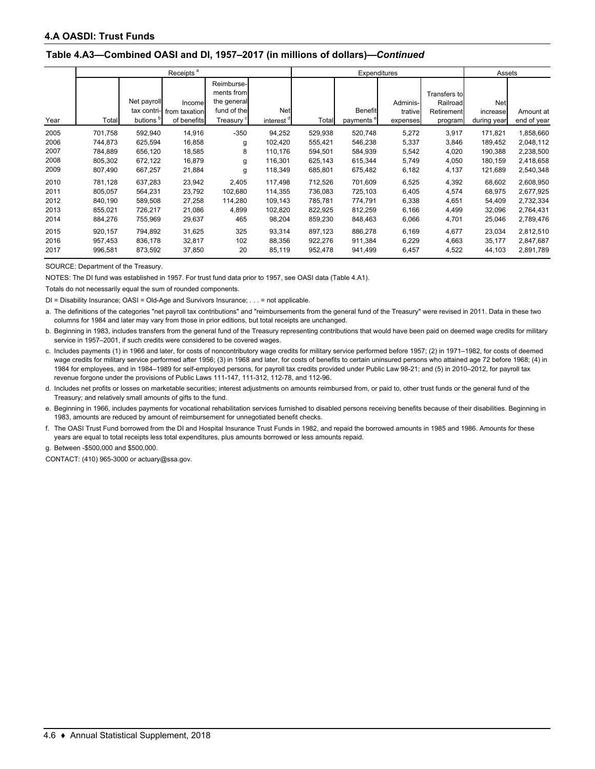#### **Table 4.A3—Combined OASI and DI, 1957–2017 (in millions of dollars)—***Continued*

|      |         |             | Receipts <sup>a</sup> |                       |            | Expenditures |                       |           |              | Assets      |             |
|------|---------|-------------|-----------------------|-----------------------|------------|--------------|-----------------------|-----------|--------------|-------------|-------------|
|      |         |             |                       | Reimburse-            |            |              |                       |           |              |             |             |
|      |         |             |                       | ments from            |            |              |                       |           | Transfers to |             |             |
|      |         | Net payroll | Income                | the general           |            |              |                       | Adminis-I | Railroad     | Net         |             |
|      |         | tax contri- | from taxation         | fund of the           | <b>Net</b> |              | <b>Benefit</b>        | trative   | Retirement   | increase    | Amount at   |
| Year | Total   | butions     | of benefits           | Treasury <sup>c</sup> | interest " | Total        | payments <sup>e</sup> | expenses  | program      | during year | end of year |
| 2005 | 701,758 | 592,940     | 14,916                | $-350$                | 94,252     | 529,938      | 520,748               | 5,272     | 3,917        | 171,821     | 1,858,660   |
| 2006 | 744,873 | 625,594     | 16,858                | g                     | 102,420    | 555,421      | 546,238               | 5,337     | 3,846        | 189,452     | 2,048,112   |
| 2007 | 784.889 | 656.120     | 18.585                | 8                     | 110.176    | 594,501      | 584.939               | 5,542     | 4,020        | 190.388     | 2,238,500   |
| 2008 | 805,302 | 672,122     | 16,879                | g                     | 116,301    | 625,143      | 615,344               | 5,749     | 4,050        | 180,159     | 2,418,658   |
| 2009 | 807,490 | 667,257     | 21,884                | g                     | 118,349    | 685,801      | 675,482               | 6,182     | 4,137        | 121,689     | 2,540,348   |
| 2010 | 781.128 | 637.283     | 23,942                | 2,405                 | 117.498    | 712.526      | 701.609               | 6,525     | 4,392        | 68,602      | 2,608,950   |
| 2011 | 805,057 | 564,231     | 23,792                | 102,680               | 114,355    | 736,083      | 725,103               | 6,405     | 4,574        | 68,975      | 2,677,925   |
| 2012 | 840.190 | 589.508     | 27,258                | 114.280               | 109,143    | 785,781      | 774,791               | 6,338     | 4,651        | 54,409      | 2,732,334   |
| 2013 | 855,021 | 726,217     | 21,086                | 4,899                 | 102,820    | 822,925      | 812,259               | 6,166     | 4,499        | 32,096      | 2,764,431   |
| 2014 | 884,276 | 755,969     | 29,637                | 465                   | 98,204     | 859,230      | 848,463               | 6,066     | 4,701        | 25,046      | 2,789,476   |
| 2015 | 920,157 | 794.892     | 31,625                | 325                   | 93,314     | 897,123      | 886,278               | 6,169     | 4,677        | 23,034      | 2,812,510   |
| 2016 | 957,453 | 836,178     | 32,817                | 102                   | 88,356     | 922,276      | 911,384               | 6,229     | 4,663        | 35,177      | 2,847,687   |
| 2017 | 996,581 | 873,592     | 37,850                | 20                    | 85,119     | 952,478      | 941,499               | 6,457     | 4,522        | 44,103      | 2,891,789   |

SOURCE: Department of the Treasury.

NOTES: The DI fund was established in 1957. For trust fund data prior to 1957, see OASI data (Table 4.A1).

Totals do not necessarily equal the sum of rounded components.

DI = Disability Insurance; OASI = Old-Age and Survivors Insurance; . . . = not applicable.

a. The definitions of the categories "net payroll tax contributions" and "reimbursements from the general fund of the Treasury" were revised in 2011. Data in these two columns for 1984 and later may vary from those in prior editions, but total receipts are unchanged.

b. Beginning in 1983, includes transfers from the general fund of the Treasury representing contributions that would have been paid on deemed wage credits for military service in 1957–2001, if such credits were considered to be covered wages.

c. Includes payments (1) in 1966 and later, for costs of noncontributory wage credits for military service performed before 1957; (2) in 1971–1982, for costs of deemed wage credits for military service performed after 1956; (3) in 1968 and later, for costs of benefits to certain uninsured persons who attained age 72 before 1968; (4) in 1984 for employees, and in 1984–1989 for self-employed persons, for payroll tax credits provided under Public Law 98-21; and (5) in 2010–2012, for payroll tax revenue forgone under the provisions of Public Laws 111-147, 111-312, 112-78, and 112-96.

d. Includes net profits or losses on marketable securities; interest adjustments on amounts reimbursed from, or paid to, other trust funds or the general fund of the Treasury; and relatively small amounts of gifts to the fund.

e. Beginning in 1966, includes payments for vocational rehabilitation services furnished to disabled persons receiving benefits because of their disabilities. Beginning in 1983, amounts are reduced by amount of reimbursement for unnegotiated benefit checks.

f. The OASI Trust Fund borrowed from the DI and Hospital Insurance Trust Funds in 1982, and repaid the borrowed amounts in 1985 and 1986. Amounts for these years are equal to total receipts less total expenditures, plus amounts borrowed or less amounts repaid.

g. Between -\$500,000 and \$500,000.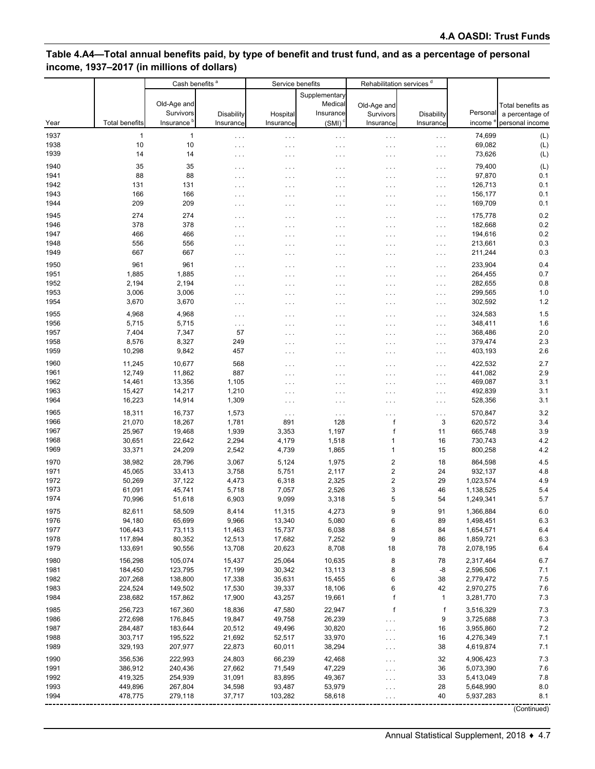## **Table 4.A4—Total annual benefits paid, by type of benefit and trust fund, and as a percentage of personal income, 1937–2017 (in millions of dollars)**

|              |                       | Cash benefits <sup>a</sup> |                                       |                      | Service benefits     |                         | Rehabilitation services <sup>d</sup> |                        |                   |
|--------------|-----------------------|----------------------------|---------------------------------------|----------------------|----------------------|-------------------------|--------------------------------------|------------------------|-------------------|
|              |                       |                            |                                       |                      | Supplementary        |                         |                                      |                        |                   |
|              |                       | Old-Age and                |                                       |                      | Medical              | Old-Age and             |                                      |                        | Total benefits as |
|              |                       | Survivors                  | Disability                            | <b>Hospital</b>      | Insurance            | Survivors               | <b>Disability</b>                    | Personal               | a percentage of   |
| Year         | <b>Total benefits</b> | Insurance                  | Insurance                             | Insurance            | (SMI)                | Insurance               | Insurance                            | income                 | personal income   |
| 1937         | 1                     | $\mathbf{1}$               | $\sim$ $\sim$ $\sim$                  | $\ldots$             | $\cdots$             | $\cdots$                | $\sim$ $\sim$ $\sim$                 | 74,699                 | (L)               |
| 1938         | 10                    | 10                         | $\cdots$                              | $\cdots$             | .                    | $\cdots$                | $\sim$ $\sim$ $\sim$                 | 69,082                 | (L)               |
| 1939         | 14                    | 14                         | $\cdots$                              | $\cdots$             | .                    | $\cdots$                | $\sim$ $\sim$ $\sim$                 | 73,626                 | (L)               |
| 1940         | 35                    | 35                         | $\cdots$                              | $\cdots$             | .                    | .                       | $\sim$ $\sim$ $\sim$                 | 79,400                 | (L)               |
| 1941         | 88                    | 88                         | $\cdots$                              | $\cdots$             | .                    | .                       | $\epsilon \rightarrow \epsilon$      | 97,870                 | 0.1               |
| 1942         | 131                   | 131                        | $\cdots$                              | $\cdots$             | $\cdots$             | .                       | $\cdots$                             | 126,713                | 0.1               |
| 1943         | 166                   | 166                        | $\cdots$                              | $\cdots$             | $\cdots$             | .                       | $\sim$ $\sim$ $\sim$                 | 156,177                | 0.1               |
| 1944         | 209                   | 209                        | $\cdots$                              | $\cdots$             | $\cdots$             | .                       | $\sim$ $\sim$ $\sim$                 | 169,709                | 0.1               |
| 1945         | 274                   | 274                        | $\cdots$                              | $\cdots$             | $\cdots$             | $\cdots$                | $\ldots$                             | 175,778                | 0.2               |
| 1946         | 378                   | 378                        | .                                     | $\cdots$             | .                    | $\cdots$                | $\sim$ $\sim$ $\sim$                 | 182,668                | 0.2               |
| 1947         | 466                   | 466                        | $\cdots$                              | $\cdots$             | $\cdots$             | .                       | $\sim$ $\sim$ $\sim$                 | 194,616                | 0.2               |
| 1948<br>1949 | 556<br>667            | 556<br>667                 | $\cdots$                              | $\cdots$             | $\cdots$             | .                       | $\sim$ $\sim$ $\sim$                 | 213,661                | 0.3<br>0.3        |
|              |                       |                            | $\cdots$                              | $\cdots$             | $\cdots$             | $\cdots$                | $\sim$ $\sim$ $\sim$                 | 211,244                |                   |
| 1950         | 961                   | 961                        | $\cdots$                              | $\cdots$             | $\cdots$             | .                       | $\ldots$                             | 233,904                | 0.4               |
| 1951         | 1,885                 | 1,885                      | .                                     | $\sim$ $\sim$ $\sim$ | .                    | .                       | $\sim$ $\sim$ $\sim$                 | 264,455                | 0.7               |
| 1952<br>1953 | 2,194<br>3,006        | 2,194<br>3,006             | .                                     | $\cdots$             | $\cdots$             | .                       | $\cdots$                             | 282,655<br>299,565     | 0.8<br>1.0        |
| 1954         | 3,670                 | 3,670                      | $\cdots$                              | $\cdots$             | $\cdots$             | .<br>$\cdots$           | $\sim$ $\sim$ $\sim$                 | 302,592                | 1.2               |
|              |                       |                            | $\cdots$                              | $\cdots$             | $\cdots$             |                         | $\sim$ $\sim$ $\sim$                 |                        |                   |
| 1955<br>1956 | 4,968<br>5,715        | 4,968<br>5,715             | $\cdots$                              | $\cdots$             | $\cdots$             | .                       | $\sim$ $\sim$ $\sim$                 | 324,583<br>348,411     | 1.5<br>1.6        |
| 1957         | 7,404                 | 7,347                      | $\epsilon \rightarrow \epsilon$<br>57 | $\cdots$             | $\sim$ $\sim$ $\sim$ | $\cdots$                | $\ldots$                             | 368,486                | 2.0               |
| 1958         | 8,576                 | 8,327                      | 249                                   | $\cdots$<br>$\cdots$ | $\cdots$<br>.        | .<br>$\cdots$           | $\sim$ $\sim$ $\sim$<br>$\ldots$ .   | 379,474                | 2.3               |
| 1959         | 10,298                | 9,842                      | 457                                   | $\cdots$             | $\cdots$             | $\cdots$                | $\ldots$                             | 403,193                | 2.6               |
| 1960         | 11,245                | 10,677                     | 568                                   |                      |                      |                         |                                      | 422,532                | 2.7               |
| 1961         | 12,749                | 11,862                     | 887                                   | $\cdots$<br>$\cdots$ | $\cdots$<br>.        | .<br>.                  | $\ldots$ .<br>$\ldots$ .             | 441,082                | 2.9               |
| 1962         | 14,461                | 13,356                     | 1,105                                 | $\cdots$             | $\cdots$             | $\cdots$                | $\ldots$ .                           | 469,087                | 3.1               |
| 1963         | 15,427                | 14,217                     | 1,210                                 | $\cdots$             | .                    | .                       | $\ldots$ .                           | 492,839                | 3.1               |
| 1964         | 16,223                | 14,914                     | 1,309                                 | $\cdots$             | $\cdots$             | .                       | $\ldots$                             | 528,356                | 3.1               |
| 1965         | 18,311                | 16,737                     | 1,573                                 | $\cdots$             | $\sim$ $\sim$ $\sim$ | $\cdots$                | $\sim$ $\sim$ $\sim$                 | 570,847                | 3.2               |
| 1966         | 21,070                | 18,267                     | 1,781                                 | 891                  | 128                  | $\mathsf{f}$            | 3                                    | 620,572                | 3.4               |
| 1967         | 25,967                | 19,468                     | 1,939                                 | 3,353                | 1,197                | $\mathsf{f}$            | 11                                   | 665,748                | 3.9               |
| 1968         | 30,651                | 22,642                     | 2,294                                 | 4,179                | 1,518                | 1                       | 16                                   | 730,743                | 4.2               |
| 1969         | 33,371                | 24,209                     | 2,542                                 | 4,739                | 1,865                | 1                       | 15                                   | 800,258                | 4.2               |
| 1970         | 38,982                | 28,796                     | 3,067                                 | 5,124                | 1,975                | $\overline{\mathbf{c}}$ | 18                                   | 864,598                | 4.5               |
| 1971         | 45,065                | 33,413                     | 3,758                                 | 5,751                | 2,117                | $\overline{\mathbf{c}}$ | 24                                   | 932,137                | 4.8               |
| 1972         | 50,269                | 37,122                     | 4,473                                 | 6,318                | 2,325                | $\overline{\mathbf{c}}$ | 29                                   | 1,023,574              | 4.9               |
| 1973         | 61,091                | 45,741                     | 5,718                                 | 7,057                | 2,526                | 3                       | 46                                   | 1,138,525              | 5.4               |
| 1974         | 70,996                | 51,618                     | 6,903                                 | 9,099                | 3,318                | 5                       | 54                                   | 1,249,341              | 5.7               |
| 1975         | 82,611                | 58,509                     | 8,414                                 | 11,315               | 4,273                | 9                       | 91                                   | 1,366,884              | $6.0\,$           |
| 1976         | 94,180                | 65,699                     | 9,966                                 | 13,340               | 5,080                | 6                       | 89                                   | 1,498,451              | 6.3               |
| 1977         | 106,443               | 73,113                     | 11,463                                | 15,737               | 6,038                | 8                       | 84                                   | 1,654,571              | 6.4               |
| 1978<br>1979 | 117,894<br>133,691    | 80,352<br>90,556           | 12,513                                | 17,682               | 7,252<br>8,708       | 9<br>18                 | 86<br>78                             | 1,859,721              | 6.3               |
|              |                       |                            | 13,708                                | 20,623               |                      |                         |                                      | 2,078,195              | 6.4               |
| 1980         | 156,298               | 105,074                    | 15,437                                | 25,064               | 10,635               | 8                       | 78                                   | 2,317,464              | 6.7               |
| 1981<br>1982 | 184,450<br>207,268    | 123,795<br>138,800         | 17,199<br>17,338                      | 30,342<br>35,631     | 13,113               | 8<br>6                  | -8<br>38                             | 2,596,506<br>2,779,472 | 7.1<br>7.5        |
| 1983         | 224,524               | 149,502                    | 17,530                                | 39,337               | 15,455<br>18,106     | 6                       | 42                                   | 2,970,275              | 7.6               |
| 1984         | 238,682               | 157,862                    | 17,900                                | 43,257               | 19,661               | f                       | 1                                    | 3,281,770              | 7.3               |
|              |                       |                            |                                       |                      |                      |                         | f                                    |                        |                   |
| 1985<br>1986 | 256,723<br>272,698    | 167,360<br>176,845         | 18,836<br>19,847                      | 47,580<br>49,758     | 22,947<br>26,239     | f                       | 9                                    | 3,516,329<br>3,725,688 | 7.3<br>7.3        |
| 1987         | 284,487               | 183,644                    | 20,512                                | 49,496               | 30,820               | .<br>.                  | 16                                   | 3,955,860              | 7.2               |
| 1988         | 303,717               | 195,522                    | 21,692                                | 52,517               | 33,970               | .                       | 16                                   | 4,276,349              | 7.1               |
| 1989         | 329,193               | 207,977                    | 22,873                                | 60,011               | 38,294               | $\cdots$                | 38                                   | 4,619,874              | 7.1               |
| 1990         | 356,536               | 222,993                    | 24,803                                | 66,239               | 42,468               | .                       | 32                                   | 4,906,423              | 7.3               |
| 1991         | 386,912               | 240,436                    | 27,662                                | 71,549               | 47,229               | .                       | 36                                   | 5,073,390              | 7.6               |
| 1992         | 419,325               | 254,939                    | 31,091                                | 83,895               | 49,367               | .                       | 33                                   | 5,413,049              | 7.8               |
| 1993         | 449,896               | 267,804                    | 34,598                                | 93,487               | 53,979               | $\cdots$                | 28                                   | 5,648,990              | 8.0               |
| 1994         | 478,775               | 279,118                    | 37,717                                | 103,282              | 58,618               |                         | 40                                   | 5,937,283              | 8.1               |
|              |                       |                            |                                       |                      |                      |                         |                                      |                        |                   |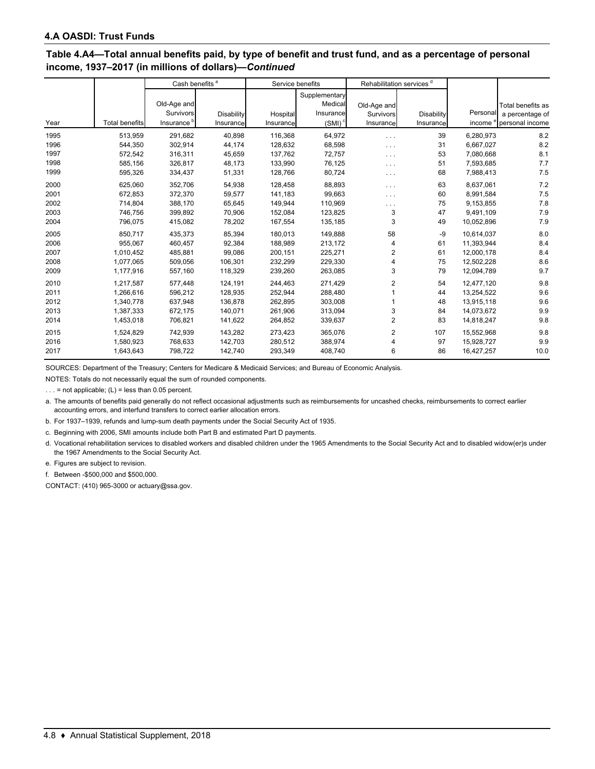#### **Table 4.A4—Total annual benefits paid, by type of benefit and trust fund, and as a percentage of personal income, 1937–2017 (in millions of dollars)—***Continued*

|      |                       | Cash benefits <sup>a</sup> |            |           | Service benefits |             | Rehabilitation services <sup>d</sup> |            |                              |
|------|-----------------------|----------------------------|------------|-----------|------------------|-------------|--------------------------------------|------------|------------------------------|
|      |                       |                            |            |           | Supplementary    |             |                                      |            |                              |
|      |                       | Old-Age and                |            |           | Medical          | Old-Age and |                                      |            | Total benefits as            |
|      |                       | Survivors                  | Disability | Hospital  | Insurance        | Survivors   | <b>Disability</b>                    | Personal   | a percentage of              |
| Year | <b>Total benefits</b> | Insurance <sup>b</sup>     | Insurance  | Insurance | $(SMI)^c$        | Insurance   | Insurance                            | income     | <sup>e</sup> personal income |
| 1995 | 513,959               | 291,682                    | 40,898     | 116,368   | 64,972           | .           | 39                                   | 6,280,973  | 8.2                          |
| 1996 | 544,350               | 302.914                    | 44,174     | 128,632   | 68,598           | .           | 31                                   | 6,667,027  | 8.2                          |
| 1997 | 572,542               | 316,311                    | 45,659     | 137,762   | 72,757           | $\cdots$    | 53                                   | 7,080,668  | 8.1                          |
| 1998 | 585,156               | 326,817                    | 48,173     | 133,990   | 76,125           | .           | 51                                   | 7,593,685  | 7.7                          |
| 1999 | 595,326               | 334,437                    | 51,331     | 128,766   | 80,724           | .           | 68                                   | 7,988,413  | 7.5                          |
| 2000 | 625,060               | 352,706                    | 54,938     | 128,458   | 88,893           | .           | 63                                   | 8,637,061  | 7.2                          |
| 2001 | 672,853               | 372,370                    | 59,577     | 141,183   | 99,663           | .           | 60                                   | 8,991,584  | 7.5                          |
| 2002 | 714,804               | 388,170                    | 65,645     | 149,944   | 110,969          | .           | 75                                   | 9,153,855  | 7.8                          |
| 2003 | 746,756               | 399,892                    | 70,906     | 152,084   | 123,825          | 3           | 47                                   | 9,491,109  | 7.9                          |
| 2004 | 796,075               | 415,082                    | 78,202     | 167,554   | 135,185          | 3           | 49                                   | 10,052,896 | 7.9                          |
| 2005 | 850,717               | 435,373                    | 85,394     | 180,013   | 149,888          | 58          | $-9$                                 | 10,614,037 | 8.0                          |
| 2006 | 955,067               | 460,457                    | 92,384     | 188,989   | 213,172          | 4           | 61                                   | 11,393,944 | 8.4                          |
| 2007 | 1,010,452             | 485,881                    | 99,086     | 200,151   | 225,271          | 2           | 61                                   | 12,000,178 | 8.4                          |
| 2008 | 1.077.065             | 509,056                    | 106,301    | 232.299   | 229,330          | 4           | 75                                   | 12.502.228 | 8.6                          |
| 2009 | 1,177,916             | 557,160                    | 118,329    | 239,260   | 263,085          | 3           | 79                                   | 12,094,789 | 9.7                          |
| 2010 | 1,217,587             | 577,448                    | 124,191    | 244,463   | 271,429          | 2           | 54                                   | 12,477,120 | 9.8                          |
| 2011 | 1.266.616             | 596,212                    | 128,935    | 252,944   | 288,480          |             | 44                                   | 13,254,522 | 9.6                          |
| 2012 | 1,340,778             | 637,948                    | 136,878    | 262,895   | 303,008          |             | 48                                   | 13,915,118 | 9.6                          |
| 2013 | 1,387,333             | 672,175                    | 140,071    | 261,906   | 313,094          | 3           | 84                                   | 14,073,672 | 9.9                          |
| 2014 | 1,453,018             | 706,821                    | 141,622    | 264,852   | 339,637          | 2           | 83                                   | 14,818,247 | 9.8                          |
| 2015 | 1,524,829             | 742,939                    | 143,282    | 273,423   | 365,076          | 2           | 107                                  | 15,552,968 | 9.8                          |
| 2016 | 1,580,923             | 768,633                    | 142,703    | 280,512   | 388,974          | 4           | 97                                   | 15,928,727 | 9.9                          |
| 2017 | 1,643,643             | 798,722                    | 142,740    | 293,349   | 408,740          | 6           | 86                                   | 16,427,257 | 10.0                         |

SOURCES: Department of the Treasury; Centers for Medicare & Medicaid Services; and Bureau of Economic Analysis.

NOTES: Totals do not necessarily equal the sum of rounded components.

... = not applicable;  $(L)$  = less than 0.05 percent.

a. The amounts of benefits paid generally do not reflect occasional adjustments such as reimbursements for uncashed checks, reimbursements to correct earlier accounting errors, and interfund transfers to correct earlier allocation errors.

b. For 1937–1939, refunds and lump-sum death payments under the Social Security Act of 1935.

c. Beginning with 2006, SMI amounts include both Part B and estimated Part D payments.

d. Vocational rehabilitation services to disabled workers and disabled children under the 1965 Amendments to the Social Security Act and to disabled widow(er)s under the 1967 Amendments to the Social Security Act.

e. Figures are subject to revision.

f. Between -\$500,000 and \$500,000.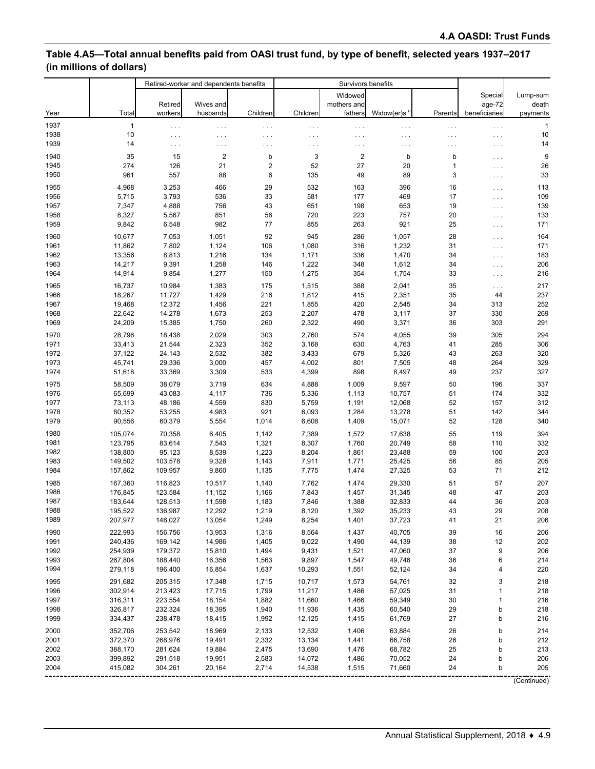## **Table 4.A5—Total annual benefits paid from OASI trust fund, by type of benefit, selected years 1937–2017 (in millions of dollars)**

|      |         |          | Retired-worker and dependents benefits |                  | Survivors benefits   |                |                         |         |               |              |
|------|---------|----------|----------------------------------------|------------------|----------------------|----------------|-------------------------|---------|---------------|--------------|
|      |         |          |                                        |                  |                      | Widowed        |                         |         | Special       | Lump-sum     |
|      |         | Retired  | Wives and                              |                  |                      | mothers and    |                         |         | age-72        | death        |
| Year | Total   | workers  | husbands                               | Children         | Children             | fathers        | Widow(er)s <sup>a</sup> | Parents | beneficiaries | payments     |
| 1937 | 1       | $\cdots$ | $\cdots$                               | $\cdots$         | $\sim$ $\sim$ $\sim$ | $\sim$ .       | $\sim$ $\sim$ $\sim$    | .       | $\ldots$      | $\mathbf{1}$ |
| 1938 | 10      | .        | $\cdots$                               | $\cdots$         | $\ldots$ .           | $\cdots$       | .                       | .       | $\ldots$      | 10           |
| 1939 | 14      | $\cdots$ | $\cdots$                               | $\cdots$         | $\sim$ $\sim$ $\sim$ | $\cdots$       | $\cdots$                | .       | $\ldots$      | 14           |
| 1940 | 35      | 15       | $\overline{2}$                         | b                | $\mathsf 3$          | $\overline{2}$ | b                       | b       | $\cdots$      | 9            |
| 1945 | 274     | 126      | 21                                     | $\boldsymbol{2}$ | 52                   | 27             | 20                      | 1       | $\ldots$      | 26           |
| 1950 | 961     | 557      | 88                                     | 6                | 135                  | 49             | 89                      | 3       | $\ldots$      | 33           |
| 1955 | 4,968   | 3,253    | 466                                    | 29               | 532                  | 163            | 396                     | 16      | $\cdots$      | 113          |
| 1956 | 5,715   | 3,793    | 536                                    | 33               | 581                  | 177            | 469                     | 17      | $\ldots$      | 109          |
| 1957 | 7,347   | 4,888    | 756                                    | 43               | 651                  | 198            | 653                     | 19      | $\cdots$      | 139          |
| 1958 | 8,327   | 5,567    | 851                                    | 56               | 720                  | 223            | 757                     | 20      | $\cdots$      | 133          |
| 1959 | 9,842   | 6,548    | 982                                    | 77               | 855                  | 263            | 921                     | 25      | $\cdots$      | 171          |
| 1960 | 10,677  | 7,053    | 1,051                                  | 92               | 945                  | 286            | 1,057                   | 28      | $\cdots$      | 164          |
| 1961 | 11,862  | 7,802    | 1,124                                  | 106              | 1,080                | 316            | 1,232                   | 31      | $\ldots$      | 171          |
| 1962 | 13,356  | 8,813    | 1,216                                  | 134              | 1,171                | 336            | 1,470                   | 34      | $\cdots$      | 183          |
| 1963 | 14,217  | 9,391    | 1,258                                  | 146              | 1,222                | 348            | 1,612                   | 34      | $\ldots$      | 206          |
| 1964 | 14,914  | 9,854    | 1,277                                  | 150              | 1,275                | 354            | 1,754                   | 33      | $\cdots$      | 216          |
| 1965 | 16,737  | 10,984   | 1,383                                  | 175              | 1,515                | 388            | 2,041                   | 35      | $\cdots$      | 217          |
| 1966 | 18,267  | 11,727   | 1,429                                  | 216              | 1,812                | 415            | 2,351                   | 35      | 44            | 237          |
| 1967 | 19,468  | 12,372   | 1,456                                  | 221              | 1,855                | 420            | 2,545                   | 34      | 313           | 252          |
| 1968 | 22,642  | 14,278   | 1,673                                  | 253              | 2,207                | 478            | 3,117                   | 37      | 330           | 269          |
| 1969 | 24,209  | 15,385   | 1,750                                  | 260              | 2,322                | 490            | 3,371                   | 36      | 303           | 291          |
| 1970 | 28,796  | 18,438   | 2,029                                  | 303              | 2,760                | 574            | 4,055                   | 39      | 305           | 294          |
| 1971 | 33,413  | 21,544   | 2,323                                  | 352              | 3,168                | 630            | 4,763                   | 41      | 285           | 306          |
| 1972 | 37,122  | 24,143   | 2,532                                  | 382              | 3,433                | 679            | 5,326                   | 43      | 263           | 320          |
| 1973 | 45,741  | 29,336   | 3,000                                  | 457              | 4,002                | 801            | 7,505                   | 48      | 264           | 329          |
| 1974 | 51,618  | 33,369   | 3,309                                  | 533              | 4,399                | 898            | 8,497                   | 49      | 237           | 327          |
| 1975 | 58,509  | 38,079   | 3,719                                  | 634              | 4,888                | 1,009          | 9,597                   | 50      | 196           | 337          |
| 1976 | 65,699  | 43,083   | 4,117                                  | 736              | 5,336                | 1,113          | 10,757                  | 51      | 174           | 332          |
| 1977 | 73,113  | 48,186   | 4,559                                  | 830              | 5,759                | 1,191          | 12,068                  | 52      | 157           | 312          |
| 1978 | 80,352  | 53,255   | 4,983                                  | 921              | 6,093                | 1,284          | 13,278                  | 51      | 142           | 344          |
| 1979 | 90,556  | 60,379   | 5,554                                  | 1,014            | 6,608                | 1,409          | 15,071                  | 52      | 128           | 340          |
| 1980 | 105,074 | 70,358   | 6,405                                  | 1,142            | 7,389                | 1,572          | 17,638                  | 55      | 119           | 394          |
| 1981 | 123,795 | 83,614   | 7,543                                  | 1,321            | 8,307                | 1,760          | 20,749                  | 58      | 110           | 332          |
| 1982 | 138,800 | 95,123   | 8,539                                  | 1,223            | 8,204                | 1,861          | 23,488                  | 59      | 100           | 203          |
| 1983 | 149,502 | 103,578  | 9,328                                  | 1,143            | 7,911                | 1,771          | 25,425                  | 56      | 85            | 205          |
| 1984 | 157,862 | 109,957  | 9,860                                  | 1,135            | 7,775                | 1,474          | 27,325                  | 53      | 71            | 212          |
| 1985 | 167,360 | 116,823  | 10,517                                 | 1,140            | 7,762                | 1,474          | 29,330                  | 51      | 57            | 207          |
| 1986 | 176,845 | 123,584  | 11,152                                 | 1,166            | 7,843                | 1,457          | 31,345                  | 48      | 47            | 203          |
| 1987 | 183,644 | 128,513  | 11,598                                 | 1,183            | 7,846                | 1,388          | 32,833                  | 44      | 36            | 203          |
| 1988 | 195,522 | 136,987  | 12,292                                 | 1,219            | 8,120                | 1,392          | 35,233                  | 43      | 29            | 208          |
| 1989 | 207,977 | 146,027  | 13,054                                 | 1,249            | 8,254                | 1,401          | 37,723                  | 41      | 21            | 206          |
| 1990 | 222,993 | 156,756  | 13,953                                 | 1,316            | 8,564                | 1,437          | 40,705                  | 39      | 16            | 206          |
| 1991 | 240,436 | 169,142  | 14,986                                 | 1,405            | 9,022                | 1,490          | 44,139                  | 38      | 12            | 202          |
| 1992 | 254,939 | 179,372  | 15,810                                 | 1,494            | 9,431                | 1,521          | 47,060                  | 37      | 9             | 206          |
| 1993 | 267,804 | 188,440  | 16,356                                 | 1,563            | 9,897                | 1,547          | 49,746                  | 36      | 6             | 214          |
| 1994 | 279,118 | 196,400  | 16,854                                 | 1,637            | 10,293               | 1,551          | 52,124                  | 34      | 4             | 220          |
| 1995 | 291,682 | 205,315  | 17,348                                 | 1,715            | 10,717               | 1,573          | 54,761                  | 32      | 3             | 218          |
| 1996 | 302,914 | 213,423  | 17,715                                 | 1,799            | 11,217               | 1,486          | 57,025                  | 31      | 1             | 218          |
| 1997 | 316,311 | 223,554  | 18,154                                 | 1,882            | 11,660               | 1,466          | 59,349                  | 30      | 1             | 216          |
| 1998 | 326,817 | 232,324  | 18,395                                 | 1,940            | 11,936               | 1,435          | 60,540                  | 29      | b             | 218          |
| 1999 | 334,437 | 238,478  | 18,415                                 | 1,992            | 12,125               | 1,415          | 61,769                  | 27      | b             | 216          |
| 2000 | 352,706 | 253,542  | 18,969                                 | 2,133            | 12,532               | 1,406          | 63,884                  | 26      | b             | 214          |
| 2001 | 372,370 | 268,976  | 19,491                                 | 2,332            | 13,134               | 1,441          | 66,758                  | 26      | b             | 212          |
| 2002 | 388,170 | 281,624  | 19,884                                 | 2,475            | 13,690               | 1,476          | 68,782                  | 25      | b             | 213          |
| 2003 | 399,892 | 291,518  | 19,951                                 | 2,583            | 14,072               | 1,486          | 70,052                  | 24      | b             | 206          |
| 2004 | 415,082 | 304,261  | 20,164                                 | 2,714            | 14,538               | 1,515          | 71,660                  | 24      | b             | 205          |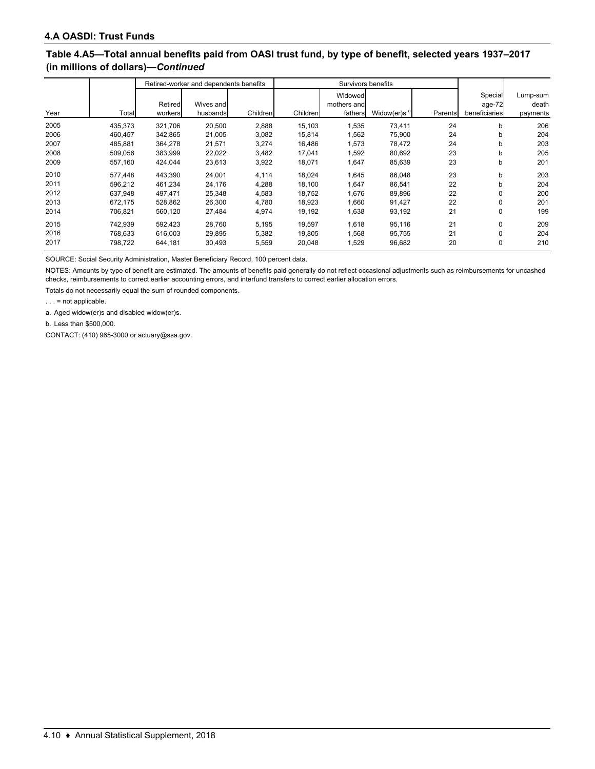### **Table 4.A5—Total annual benefits paid from OASI trust fund, by type of benefit, selected years 1937–2017 (in millions of dollars)—***Continued*

|      |         | Retired-worker and dependents benefits |                       |          |          | Survivors benefits                |                         |         |                                    |                               |
|------|---------|----------------------------------------|-----------------------|----------|----------|-----------------------------------|-------------------------|---------|------------------------------------|-------------------------------|
| Year | Total   | Retired<br>workers                     | Wives and<br>husbands | Children | Children | Widowed<br>mothers and<br>fathers | Widow(er)s <sup>a</sup> | Parents | Special<br>age-72<br>beneficiaries | Lump-sum<br>death<br>payments |
| 2005 | 435,373 | 321,706                                | 20,500                | 2,888    | 15,103   | 1,535                             | 73.411                  | 24      | b                                  | 206                           |
| 2006 | 460,457 | 342,865                                | 21,005                | 3,082    | 15,814   | 1,562                             | 75,900                  | 24      | b                                  | 204                           |
| 2007 | 485.881 | 364,278                                | 21.571                | 3,274    | 16,486   | 1,573                             | 78.472                  | 24      | b                                  | 203                           |
| 2008 | 509,056 | 383,999                                | 22,022                | 3,482    | 17,041   | 1,592                             | 80,692                  | 23      | b                                  | 205                           |
| 2009 | 557,160 | 424,044                                | 23,613                | 3,922    | 18,071   | 1,647                             | 85,639                  | 23      | b                                  | 201                           |
| 2010 | 577.448 | 443.390                                | 24,001                | 4,114    | 18,024   | 1.645                             | 86,048                  | 23      | b                                  | 203                           |
| 2011 | 596.212 | 461.234                                | 24,176                | 4,288    | 18,100   | 1.647                             | 86,541                  | 22      | b                                  | 204                           |
| 2012 | 637.948 | 497,471                                | 25,348                | 4,583    | 18,752   | 1,676                             | 89,896                  | 22      | 0                                  | 200                           |
| 2013 | 672.175 | 528,862                                | 26,300                | 4,780    | 18,923   | 1,660                             | 91,427                  | 22      | 0                                  | 201                           |
| 2014 | 706,821 | 560,120                                | 27,484                | 4,974    | 19,192   | 1,638                             | 93,192                  | 21      | 0                                  | 199                           |
| 2015 | 742.939 | 592.423                                | 28,760                | 5,195    | 19.597   | 1,618                             | 95,116                  | 21      | 0                                  | 209                           |
| 2016 | 768.633 | 616,003                                | 29,895                | 5,382    | 19,805   | 1,568                             | 95,755                  | 21      | 0                                  | 204                           |
| 2017 | 798.722 | 644,181                                | 30.493                | 5,559    | 20,048   | 1,529                             | 96,682                  | 20      | 0                                  | 210                           |

SOURCE: Social Security Administration, Master Beneficiary Record, 100 percent data.

NOTES: Amounts by type of benefit are estimated. The amounts of benefits paid generally do not reflect occasional adjustments such as reimbursements for uncashed checks, reimbursements to correct earlier accounting errors, and interfund transfers to correct earlier allocation errors.

Totals do not necessarily equal the sum of rounded components.

 $\ldots$  = not applicable.

a. Aged widow(er)s and disabled widow(er)s.

b. Less than \$500,000.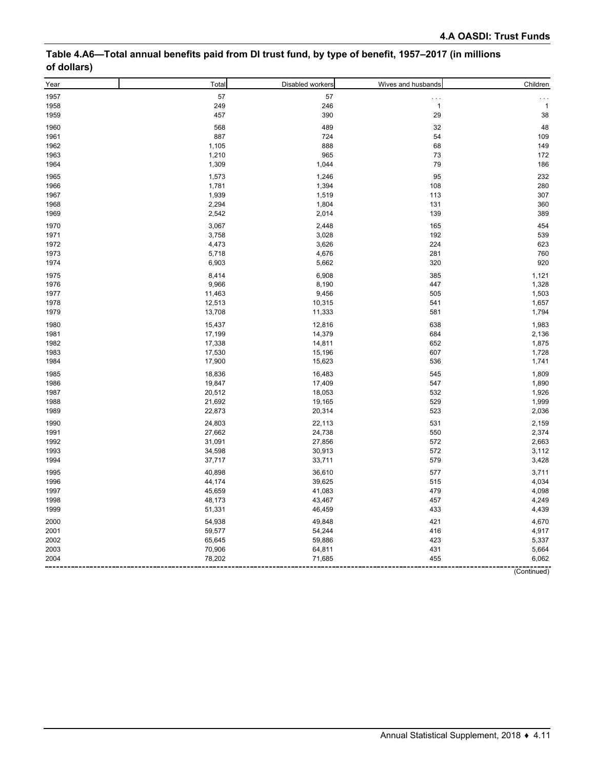| Table 4.A6—Total annual benefits paid from DI trust fund, by type of benefit, 1957–2017 (in millions |  |
|------------------------------------------------------------------------------------------------------|--|
| of dollars)                                                                                          |  |

| Year | Total  | Disabled workers | Wives and husbands | Children     |
|------|--------|------------------|--------------------|--------------|
| 1957 | 57     | 57               | $\cdots$           | .            |
| 1958 | 249    | 246              | $\mathbf{1}$       | $\mathbf{1}$ |
| 1959 | 457    | 390              | 29                 | 38           |
| 1960 | 568    | 489              | 32                 | 48           |
| 1961 | 887    | 724              | 54                 | 109          |
| 1962 | 1,105  | 888              | 68                 | 149          |
| 1963 | 1,210  | 965              | 73                 | 172          |
| 1964 | 1,309  | 1,044            | 79                 | 186          |
| 1965 | 1,573  | 1,246            | 95                 | 232          |
| 1966 | 1,781  | 1,394            | 108                | 280          |
| 1967 | 1,939  | 1,519            | 113                | 307          |
| 1968 | 2,294  | 1,804            | 131                | 360          |
| 1969 | 2,542  | 2,014            | 139                | 389          |
| 1970 | 3,067  | 2,448            | 165                | 454          |
| 1971 | 3,758  | 3,028            | 192                | 539          |
| 1972 | 4,473  | 3,626            | 224                | 623          |
| 1973 | 5,718  | 4,676            | 281                | 760          |
| 1974 | 6,903  | 5,662            | 320                | 920          |
| 1975 | 8,414  | 6,908            | 385                | 1,121        |
| 1976 | 9,966  | 8,190            | 447                | 1,328        |
| 1977 | 11,463 | 9,456            | 505                | 1,503        |
| 1978 | 12,513 | 10,315           | 541                | 1,657        |
| 1979 | 13,708 | 11,333           | 581                | 1,794        |
| 1980 | 15,437 | 12,816           | 638                | 1,983        |
| 1981 | 17,199 | 14,379           | 684                | 2,136        |
| 1982 | 17,338 | 14,811           | 652                | 1,875        |
| 1983 | 17,530 | 15,196           | 607                | 1,728        |
| 1984 | 17,900 | 15,623           | 536                | 1,741        |
| 1985 | 18,836 | 16,483           | 545                | 1,809        |
| 1986 | 19,847 | 17,409           | 547                | 1,890        |
| 1987 | 20,512 | 18,053           | 532                | 1,926        |
| 1988 | 21,692 | 19,165           | 529                | 1,999        |
| 1989 | 22,873 | 20,314           | 523                | 2,036        |
| 1990 | 24,803 | 22,113           | 531                | 2,159        |
| 1991 | 27,662 | 24,738           | 550                | 2,374        |
| 1992 | 31,091 | 27,856           | 572                | 2,663        |
| 1993 | 34,598 | 30,913           | 572                | 3,112        |
| 1994 | 37,717 | 33,711           | 579                | 3,428        |
| 1995 | 40,898 | 36,610           | 577                | 3,711        |
| 1996 | 44,174 | 39,625           | 515                | 4,034        |
| 1997 | 45,659 | 41,083           | 479                | 4,098        |
| 1998 | 48,173 | 43,467           | 457                | 4,249        |
| 1999 | 51,331 | 46,459           | 433                | 4,439        |
| 2000 | 54,938 | 49,848           | 421                | 4,670        |
| 2001 | 59,577 | 54,244           | 416                | 4,917        |
| 2002 | 65,645 | 59,886           | 423                | 5,337        |
| 2003 | 70,906 | 64,811           | 431                | 5,664        |
| 2004 | 78,202 | 71,685           | 455                | 6,062        |
|      |        |                  |                    | (Continued)  |